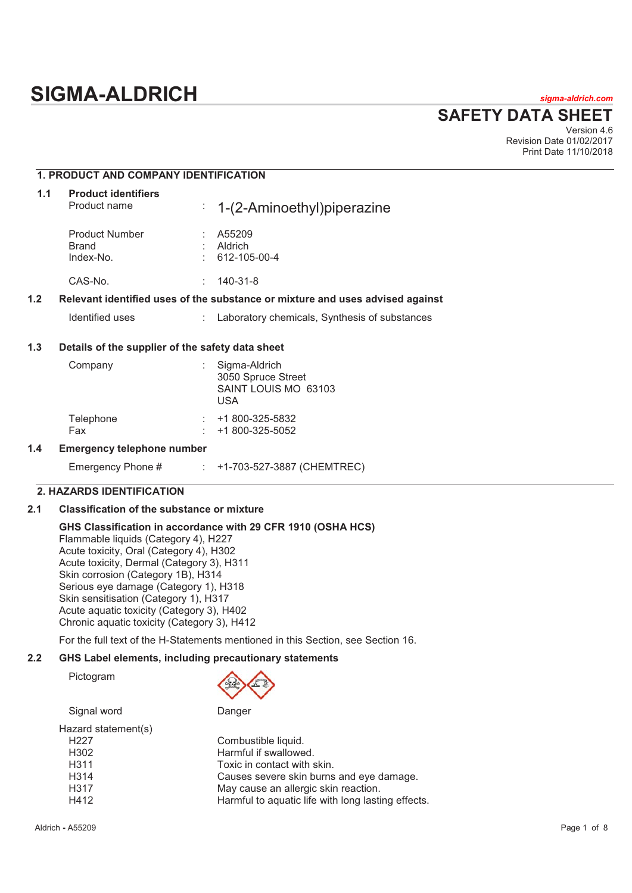# **SIGMA-ALDRICH** *sigma-aldrich.com*

# **SAFETY DATA SHEET**

Version 4.6 Revision Date 01/02/2017 Print Date 11/10/2018

# **1. PRODUCT AND COMPANY IDENTIFICATION**

| 1.1 | <b>Product identifiers</b><br>Product name       | $\frac{1}{2}$ 1-(2-Aminoethyl) piperazine                                     |  |
|-----|--------------------------------------------------|-------------------------------------------------------------------------------|--|
|     | <b>Product Number</b><br>Brand<br>Index-No.      | A55209<br>Aldrich<br>612-105-00-4                                             |  |
|     | CAS-No.                                          | $140 - 31 - 8$<br>÷                                                           |  |
| 1.2 |                                                  | Relevant identified uses of the substance or mixture and uses advised against |  |
|     | Identified uses                                  | : Laboratory chemicals, Synthesis of substances                               |  |
| 1.3 | Details of the supplier of the safety data sheet |                                                                               |  |
|     | Company                                          | Sigma-Aldrich<br>3050 Spruce Street                                           |  |

| <b>UIYILIU-AIVILIUI</b><br>3050 Spruce Street<br>SAINT LOUIS MO 63103<br>USA |
|------------------------------------------------------------------------------|
| $\div$ +1 800-325-5832<br>$\div$ +1 800-325-5052                             |
|                                                                              |

#### **1.4 Emergency telephone number**

| Emergency Phone # |  | +1-703-527-3887 (CHEMTREC) |
|-------------------|--|----------------------------|
|-------------------|--|----------------------------|

# **2. HAZARDS IDENTIFICATION**

# **2.1 Classification of the substance or mixture**

# **GHS Classification in accordance with 29 CFR 1910 (OSHA HCS)**

Flammable liquids (Category 4), H227 Acute toxicity, Oral (Category 4), H302 Acute toxicity, Dermal (Category 3), H311 Skin corrosion (Category 1B), H314 Serious eye damage (Category 1), H318 Skin sensitisation (Category 1), H317 Acute aquatic toxicity (Category 3), H402 Chronic aquatic toxicity (Category 3), H412

For the full text of the H-Statements mentioned in this Section, see Section 16.

# **2.2 GHS Label elements, including precautionary statements**

Pictogram



| Signal word         | Danger                                             |
|---------------------|----------------------------------------------------|
| Hazard statement(s) |                                                    |
| H <sub>22</sub> 7   | Combustible liquid.                                |
| H <sub>302</sub>    | Harmful if swallowed.                              |
| H <sub>3</sub> 11   | Toxic in contact with skin.                        |
| H <sub>3</sub> 14   | Causes severe skin burns and eye damage.           |
| H317                | May cause an allergic skin reaction.               |
| H412                | Harmful to aquatic life with long lasting effects. |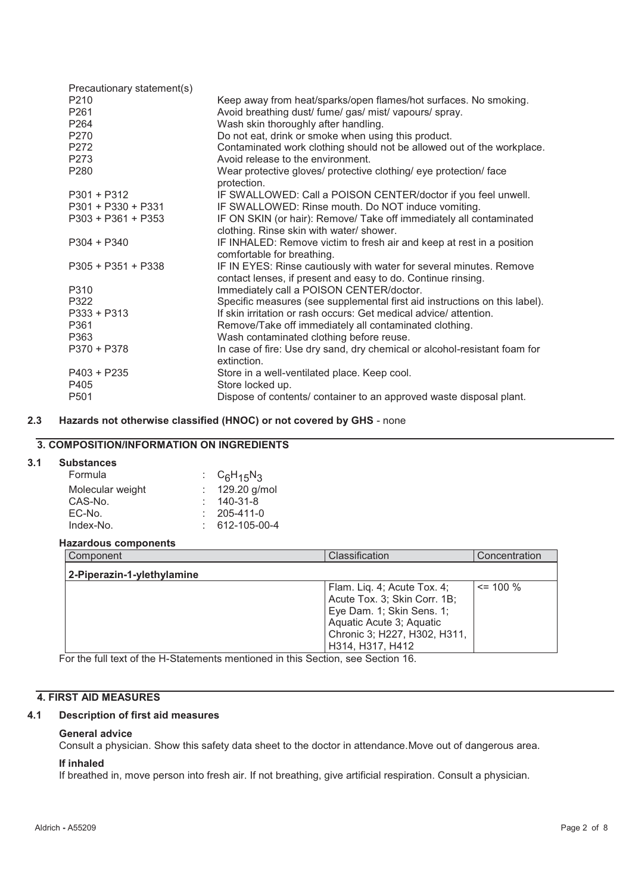| Precautionary statement(s) |                                                                                  |
|----------------------------|----------------------------------------------------------------------------------|
| P <sub>210</sub>           | Keep away from heat/sparks/open flames/hot surfaces. No smoking.                 |
| P261                       | Avoid breathing dust/ fume/ gas/ mist/ vapours/ spray.                           |
| P264                       | Wash skin thoroughly after handling.                                             |
| P <sub>270</sub>           | Do not eat, drink or smoke when using this product.                              |
| P272                       | Contaminated work clothing should not be allowed out of the workplace.           |
| P273                       | Avoid release to the environment.                                                |
| P280                       | Wear protective gloves/ protective clothing/ eye protection/ face<br>protection. |
| $P301 + P312$              | IF SWALLOWED: Call a POISON CENTER/doctor if you feel unwell.                    |
| $P301 + P330 + P331$       | IF SWALLOWED: Rinse mouth. Do NOT induce vomiting.                               |
| $P303 + P361 + P353$       | IF ON SKIN (or hair): Remove/ Take off immediately all contaminated              |
|                            | clothing. Rinse skin with water/ shower.                                         |
| $P304 + P340$              | IF INHALED: Remove victim to fresh air and keep at rest in a position            |
|                            | comfortable for breathing.                                                       |
| $P305 + P351 + P338$       | IF IN EYES: Rinse cautiously with water for several minutes. Remove              |
|                            | contact lenses, if present and easy to do. Continue rinsing.                     |
| P310                       | Immediately call a POISON CENTER/doctor.                                         |
| P322                       | Specific measures (see supplemental first aid instructions on this label).       |
| $P333 + P313$              | If skin irritation or rash occurs: Get medical advice/attention.                 |
| P361                       | Remove/Take off immediately all contaminated clothing.                           |
| P363                       | Wash contaminated clothing before reuse.                                         |
| $P370 + P378$              | In case of fire: Use dry sand, dry chemical or alcohol-resistant foam for        |
|                            | extinction.                                                                      |
| $P403 + P235$              | Store in a well-ventilated place. Keep cool.                                     |
| P405                       | Store locked up.                                                                 |
| P <sub>501</sub>           | Dispose of contents/ container to an approved waste disposal plant.              |

# **2.3 Hazards not otherwise classified (HNOC) or not covered by GHS** - none

# **3. COMPOSITION/INFORMATION ON INGREDIENTS**

# **3.1 Substances**

| Formula          | : $C_6H_{15}N_3$  |
|------------------|-------------------|
| Molecular weight | $: 129.20$ g/mol  |
| CAS-No.          | 140-31-8          |
| EC-No.           | $: 205 - 411 - 0$ |
| Index-No.        | 612-105-00-4      |

# **Hazardous components**

| Component                  | Classification                                                                                                                                                           | Concentration |
|----------------------------|--------------------------------------------------------------------------------------------------------------------------------------------------------------------------|---------------|
| 2-Piperazin-1-ylethylamine |                                                                                                                                                                          |               |
|                            | Flam. Liq. 4; Acute Tox. 4;<br>Acute Tox. 3; Skin Corr. 1B;<br>Eye Dam. 1; Skin Sens. 1;<br>Aquatic Acute 3; Aquatic<br>Chronic 3; H227, H302, H311,<br>H314, H317, H412 | $\leq$ 100 %  |

For the full text of the H-Statements mentioned in this Section, see Section 16.

# **4. FIRST AID MEASURES**

# **4.1 Description of first aid measures**

#### **General advice**

Consult a physician. Show this safety data sheet to the doctor in attendance.Move out of dangerous area.

# **If inhaled**

If breathed in, move person into fresh air. If not breathing, give artificial respiration. Consult a physician.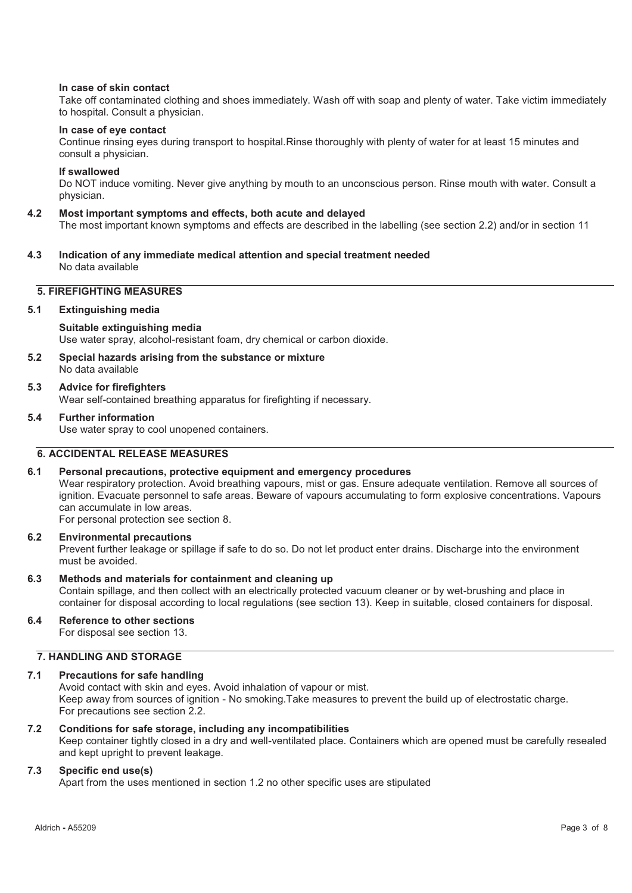# **In case of skin contact**

Take off contaminated clothing and shoes immediately. Wash off with soap and plenty of water. Take victim immediately to hospital. Consult a physician.

#### **In case of eye contact**

Continue rinsing eyes during transport to hospital.Rinse thoroughly with plenty of water for at least 15 minutes and consult a physician.

# **If swallowed**

Do NOT induce vomiting. Never give anything by mouth to an unconscious person. Rinse mouth with water. Consult a physician.

#### **4.2 Most important symptoms and effects, both acute and delayed**

The most important known symptoms and effects are described in the labelling (see section 2.2) and/or in section 11

**4.3 Indication of any immediate medical attention and special treatment needed**  No data available

# **5. FIREFIGHTING MEASURES**

#### **5.1 Extinguishing media**

#### **Suitable extinguishing media**

Use water spray, alcohol-resistant foam, dry chemical or carbon dioxide.

**5.2 Special hazards arising from the substance or mixture**  No data available

#### **5.3 Advice for firefighters**

Wear self-contained breathing apparatus for firefighting if necessary.

# **5.4 Further information**

Use water spray to cool unopened containers.

# **6. ACCIDENTAL RELEASE MEASURES**

# **6.1 Personal precautions, protective equipment and emergency procedures**

Wear respiratory protection. Avoid breathing vapours, mist or gas. Ensure adequate ventilation. Remove all sources of ignition. Evacuate personnel to safe areas. Beware of vapours accumulating to form explosive concentrations. Vapours can accumulate in low areas.

For personal protection see section 8.

# **6.2 Environmental precautions**

Prevent further leakage or spillage if safe to do so. Do not let product enter drains. Discharge into the environment must be avoided.

# **6.3 Methods and materials for containment and cleaning up**

Contain spillage, and then collect with an electrically protected vacuum cleaner or by wet-brushing and place in container for disposal according to local regulations (see section 13). Keep in suitable, closed containers for disposal.

# **6.4 Reference to other sections**

For disposal see section 13.

# **7. HANDLING AND STORAGE**

# **7.1 Precautions for safe handling**

Avoid contact with skin and eyes. Avoid inhalation of vapour or mist. Keep away from sources of ignition - No smoking.Take measures to prevent the build up of electrostatic charge. For precautions see section 2.2.

# **7.2 Conditions for safe storage, including any incompatibilities**

Keep container tightly closed in a dry and well-ventilated place. Containers which are opened must be carefully resealed and kept upright to prevent leakage.

# **7.3 Specific end use(s)**

Apart from the uses mentioned in section 1.2 no other specific uses are stipulated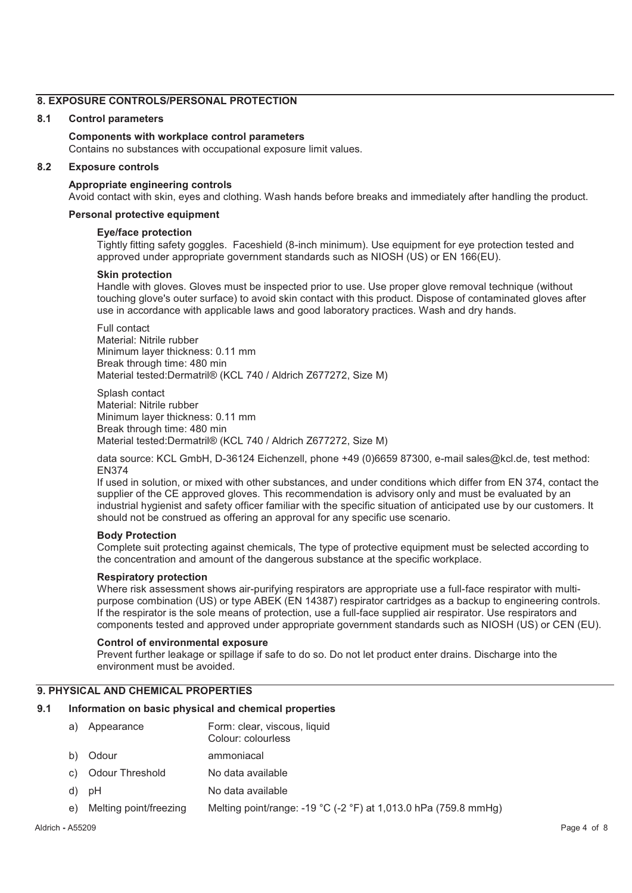# **8. EXPOSURE CONTROLS/PERSONAL PROTECTION**

# **8.1 Control parameters**

# **Components with workplace control parameters**

Contains no substances with occupational exposure limit values.

#### **8.2 Exposure controls**

# **Appropriate engineering controls**

Avoid contact with skin, eyes and clothing. Wash hands before breaks and immediately after handling the product.

# **Personal protective equipment**

#### **Eye/face protection**

Tightly fitting safety goggles. Faceshield (8-inch minimum). Use equipment for eye protection tested and approved under appropriate government standards such as NIOSH (US) or EN 166(EU).

#### **Skin protection**

Handle with gloves. Gloves must be inspected prior to use. Use proper glove removal technique (without touching glove's outer surface) to avoid skin contact with this product. Dispose of contaminated gloves after use in accordance with applicable laws and good laboratory practices. Wash and dry hands.

Full contact Material: Nitrile rubber Minimum layer thickness: 0.11 mm Break through time: 480 min Material tested:Dermatril® (KCL 740 / Aldrich Z677272, Size M)

Splash contact Material: Nitrile rubber Minimum layer thickness: 0.11 mm Break through time: 480 min Material tested:Dermatril® (KCL 740 / Aldrich Z677272, Size M)

data source: KCL GmbH, D-36124 Eichenzell, phone +49 (0)6659 87300, e-mail sales@kcl.de, test method: EN374

If used in solution, or mixed with other substances, and under conditions which differ from EN 374, contact the supplier of the CE approved gloves. This recommendation is advisory only and must be evaluated by an industrial hygienist and safety officer familiar with the specific situation of anticipated use by our customers. It should not be construed as offering an approval for any specific use scenario.

# **Body Protection**

Complete suit protecting against chemicals, The type of protective equipment must be selected according to the concentration and amount of the dangerous substance at the specific workplace.

#### **Respiratory protection**

Where risk assessment shows air-purifying respirators are appropriate use a full-face respirator with multipurpose combination (US) or type ABEK (EN 14387) respirator cartridges as a backup to engineering controls. If the respirator is the sole means of protection, use a full-face supplied air respirator. Use respirators and components tested and approved under appropriate government standards such as NIOSH (US) or CEN (EU).

#### **Control of environmental exposure**

Prevent further leakage or spillage if safe to do so. Do not let product enter drains. Discharge into the environment must be avoided.

# **9. PHYSICAL AND CHEMICAL PROPERTIES**

# **9.1 Information on basic physical and chemical properties**

- a) Appearance Form: clear, viscous, liquid Colour: colourless b) Odour ammoniacal c) Odour Threshold No data available
- d) pH No data available
- e) Melting point/freezing Melting point/range: -19 °C (-2 °F) at 1,013.0 hPa (759.8 mmHg)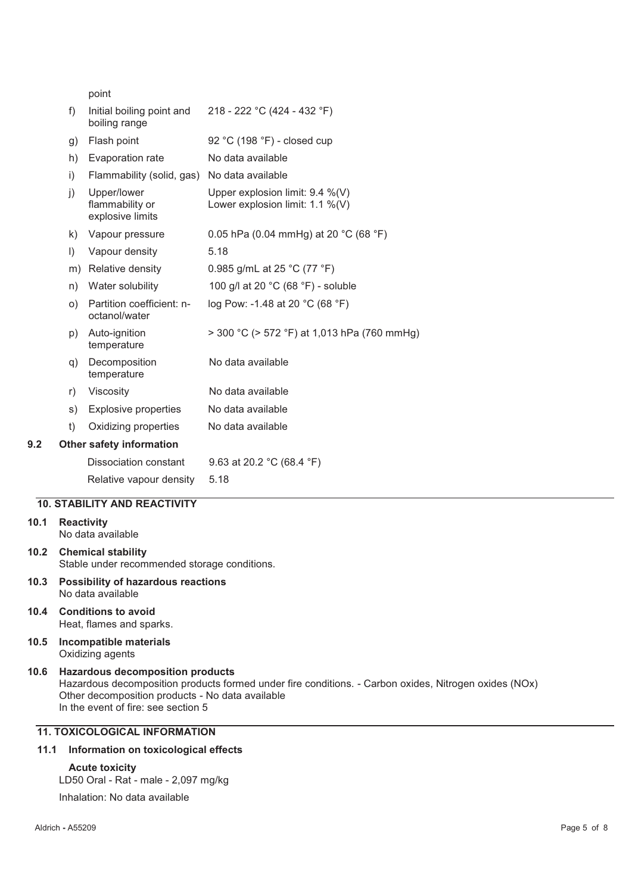|     |              | point                                              |                                                                       |
|-----|--------------|----------------------------------------------------|-----------------------------------------------------------------------|
|     | f)           | Initial boiling point and<br>boiling range         | 218 - 222 °C (424 - 432 °F)                                           |
|     | g)           | Flash point                                        | 92 °C (198 °F) - closed cup                                           |
|     | h)           | Evaporation rate                                   | No data available                                                     |
|     | $\mathsf{i}$ | Flammability (solid, gas)                          | No data available                                                     |
|     | j)           | Upper/lower<br>flammability or<br>explosive limits | Upper explosion limit: 9.4 %(V)<br>Lower explosion limit: $1.1\%$ (V) |
|     | k)           | Vapour pressure                                    | 0.05 hPa (0.04 mmHg) at 20 °C (68 °F)                                 |
|     | $\vert$      | Vapour density                                     | 5.18                                                                  |
|     | m)           | Relative density                                   | 0.985 g/mL at 25 °C (77 °F)                                           |
|     | n)           | Water solubility                                   | 100 g/l at 20 °C (68 °F) - soluble                                    |
|     | O)           | Partition coefficient: n-<br>octanol/water         | log Pow: -1.48 at 20 °C (68 °F)                                       |
|     | p)           | Auto-ignition<br>temperature                       | $>$ 300 °C ( $>$ 572 °F) at 1,013 hPa (760 mmHg)                      |
|     | q)           | Decomposition<br>temperature                       | No data available                                                     |
|     | r)           | Viscosity                                          | No data available                                                     |
|     | s)           | <b>Explosive properties</b>                        | No data available                                                     |
|     | t)           | Oxidizing properties                               | No data available                                                     |
| 9.2 |              | <b>Other safety information</b>                    |                                                                       |
|     |              | Dissociation constant                              | 9.63 at 20.2 $°C$ (68.4 $°F$ )                                        |
|     |              | Relative vapour density                            | 5.18                                                                  |
|     |              |                                                    |                                                                       |

# **10. STABILITY AND REACTIVITY**

**10.1 Reactivity** 

No data available

- **10.2 Chemical stability**  Stable under recommended storage conditions.
- **10.3 Possibility of hazardous reactions**  No data available
- **10.4 Conditions to avoid**  Heat, flames and sparks.
- **10.5 Incompatible materials**  Oxidizing agents
- **10.6 Hazardous decomposition products**  Hazardous decomposition products formed under fire conditions. - Carbon oxides, Nitrogen oxides (NOx) Other decomposition products - No data available In the event of fire: see section 5

# **11. TOXICOLOGICAL INFORMATION**

# **11.1 Information on toxicological effects**

# **Acute toxicity**

LD50 Oral - Rat - male - 2,097 mg/kg

Inhalation: No data available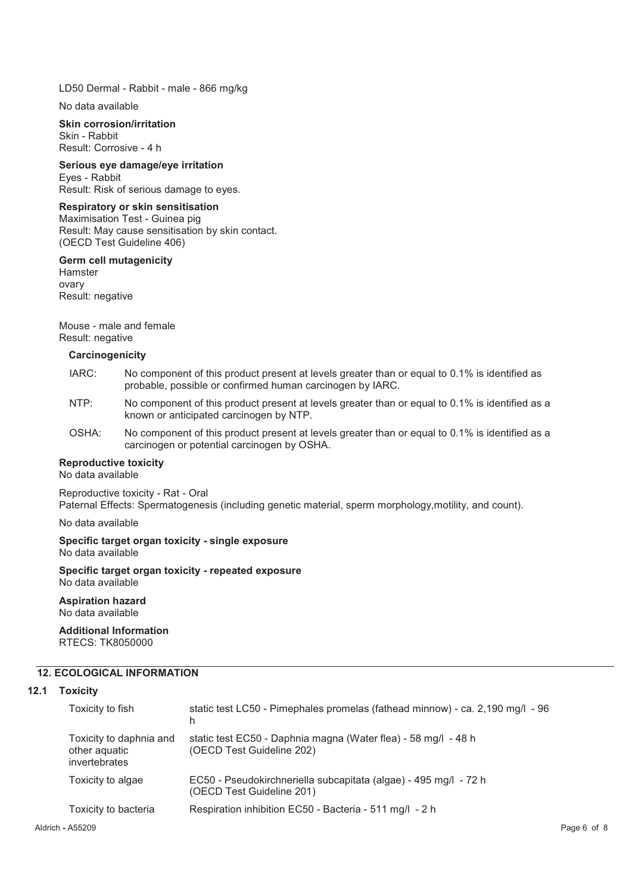LD50 Dermal - Rabbit - male - 866 mg/kg

No data available

#### **Skin corrosion/irritation**  Skin - Rabbit

Result: Corrosive - 4 h

**Serious eye damage/eye irritation**  Eyes - Rabbit Result: Risk of serious damage to eyes.

# **Respiratory or skin sensitisation**

Maximisation Test - Guinea pig Result: May cause sensitisation by skin contact. (OECD Test Guideline 406)

# **Germ cell mutagenicity**

Hamster ovary Result: negative

Mouse - male and female Result: negative

# **Carcinogenicity**

- IARC: No component of this product present at levels greater than or equal to 0.1% is identified as probable, possible or confirmed human carcinogen by IARC.
- NTP: No component of this product present at levels greater than or equal to 0.1% is identified as a known or anticipated carcinogen by NTP.
- OSHA: No component of this product present at levels greater than or equal to 0.1% is identified as a carcinogen or potential carcinogen by OSHA.

# **Reproductive toxicity**

No data available

Reproductive toxicity - Rat - Oral Paternal Effects: Spermatogenesis (including genetic material, sperm morphology,motility, and count).

No data available

#### **Specific target organ toxicity - single exposure**  No data available

**Specific target organ toxicity - repeated exposure**  No data available

**Aspiration hazard**  No data available

**Additional Information**  RTECS: TK8050000

# **12. ECOLOGICAL INFORMATION**

# **12.1 Toxicity**

| Toxicity to fish                                          | static test LC50 - Pimephales promelas (fathead minnow) - ca. 2,190 mg/l - 96<br>h            |
|-----------------------------------------------------------|-----------------------------------------------------------------------------------------------|
| Toxicity to daphnia and<br>other aquatic<br>invertebrates | static test EC50 - Daphnia magna (Water flea) - 58 mg/l - 48 h<br>(OECD Test Guideline 202)   |
| Toxicity to algae                                         | EC50 - Pseudokirchneriella subcapitata (algae) - 495 mg/l - 72 h<br>(OECD Test Guideline 201) |
| Toxicity to bacteria                                      | Respiration inhibition EC50 - Bacteria - 511 mg/l - 2 h                                       |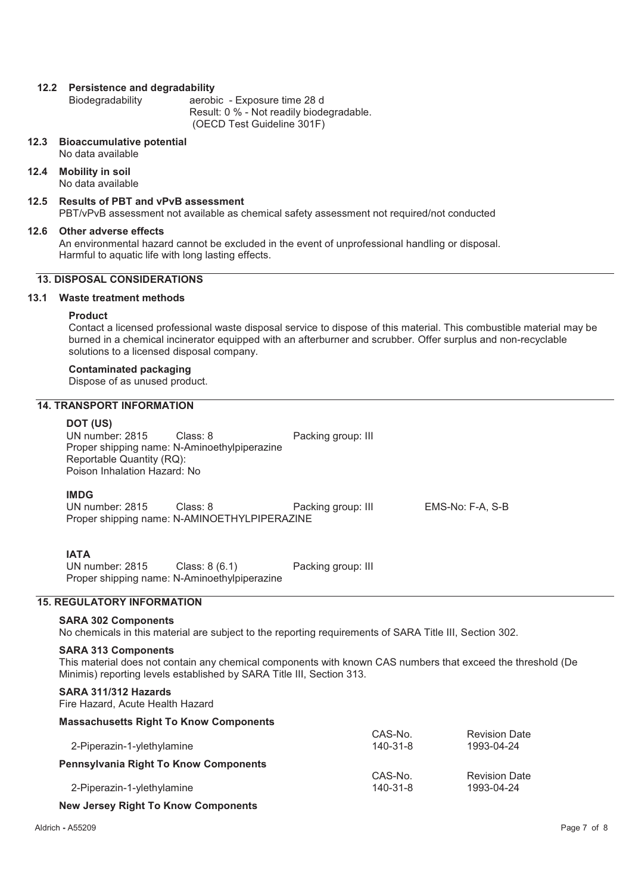# **12.2 Persistence and degradability**

aerobic - Exposure time 28 d Result: 0 % - Not readily biodegradable. (OECD Test Guideline 301F)

#### **12.3 Bioaccumulative potential**

No data available

#### **12.4 Mobility in soil**  No data available

# **12.5 Results of PBT and vPvB assessment**

PBT/vPvB assessment not available as chemical safety assessment not required/not conducted

#### **12.6 Other adverse effects**

An environmental hazard cannot be excluded in the event of unprofessional handling or disposal. Harmful to aquatic life with long lasting effects.

# **13. DISPOSAL CONSIDERATIONS**

# **13.1 Waste treatment methods**

#### **Product**

Contact a licensed professional waste disposal service to dispose of this material. This combustible material may be burned in a chemical incinerator equipped with an afterburner and scrubber. Offer surplus and non-recyclable solutions to a licensed disposal company.

# **Contaminated packaging**

Dispose of as unused product.

# **14. TRANSPORT INFORMATION**

#### **DOT (US)**

UN number: 2815 Class: 8 Packing group: III Proper shipping name: N-Aminoethylpiperazine Reportable Quantity (RQ): Poison Inhalation Hazard: No

# **IMDG**

UN number: 2815 Class: 8 Packing group: III EMS-No: F-A, S-B Proper shipping name: N-AMINOETHYLPIPERAZINE

# **IATA**

UN number: 2815 Class: 8 (6.1) Packing group: III Proper shipping name: N-Aminoethylpiperazine

# **15. REGULATORY INFORMATION**

# **SARA 302 Components**

No chemicals in this material are subject to the reporting requirements of SARA Title III, Section 302.

#### **SARA 313 Components**

This material does not contain any chemical components with known CAS numbers that exceed the threshold (De Minimis) reporting levels established by SARA Title III, Section 313.

# **SARA 311/312 Hazards**

Fire Hazard, Acute Health Hazard

# **Massachusetts Right To Know Components**

|                                       | CAS-No.        | <b>Revision Date</b> |
|---------------------------------------|----------------|----------------------|
| 2-Piperazin-1-ylethylamine            | $140 - 31 - 8$ | 1993-04-24           |
| Pennsylvania Right To Know Components |                |                      |
|                                       | CAS-No.        | <b>Revision Date</b> |
| 2-Piperazin-1-ylethylamine            | $140 - 31 - 8$ | 1993-04-24           |

# **New Jersey Right To Know Components**